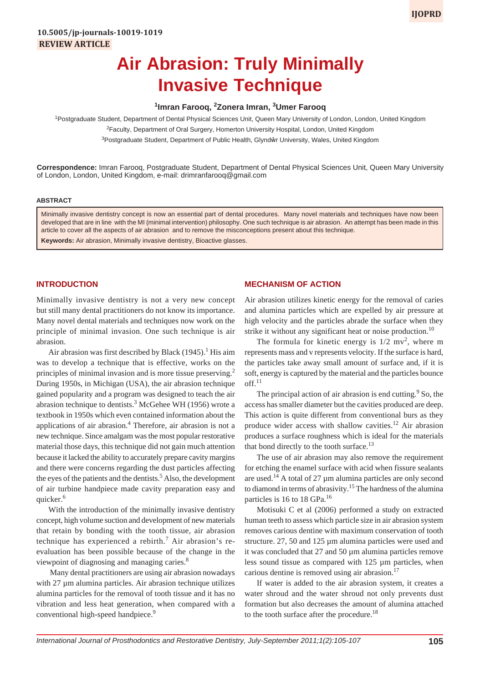# **1 Imran Farooq, 2 Zonera Imran, 3 Umer Farooq**

<sup>1</sup>Postgraduate Student, Department of Dental Physical Sciences Unit, Queen Mary University of London, London, United Kingdom <sup>2</sup>Faculty, Department of Oral Surgery, Homerton University Hospital, London, United Kingdom <sup>3</sup>Postgraduate Student, Department of Public Health, Glyndŵr University, Wales, United Kingdom

**Correspondence:** Imran Farooq, Postgraduate Student, Department of Dental Physical Sciences Unit, Queen Mary University of London, London, United Kingdom, e-mail: drimranfarooq@gmail.com

#### **ABSTRACT**

Minimally invasive dentistry concept is now an essential part of dental procedures. Many novel materials and techniques have now been developed that are in line with the MI (minimal intervention) philosophy. One such technique is air abrasion. An attempt has been made in this article to cover all the aspects of air abrasion and to remove the misconceptions present about this technique. **Keywords:** Air abrasion, Minimally invasive dentistry, Bioactive glasses.

## **INTRODUCTION**

Minimally invasive dentistry is not a very new concept but still many dental practitioners do not know its importance. Many novel dental materials and techniques now work on the principle of minimal invasion. One such technique is air abrasion.

Air abrasion was first described by Black (1945).<sup>1</sup> His aim was to develop a technique that is effective, works on the principles of minimal invasion and is more tissue preserving.<sup>2</sup> During 1950s, in Michigan (USA), the air abrasion technique gained popularity and a program was designed to teach the air abrasion technique to dentists.<sup>3</sup> McGehee WH (1956) wrote a textbook in 1950s which even contained information about the applications of air abrasion.<sup>4</sup> Therefore, air abrasion is not a new technique. Since amalgam was the most popular restorative material those days, this technique did not gain much attention because it lacked the ability to accurately prepare cavity margins and there were concerns regarding the dust particles affecting the eyes of the patients and the dentists.<sup>5</sup> Also, the development of air turbine handpiece made cavity preparation easy and quicker.<sup>6</sup>

With the introduction of the minimally invasive dentistry concept, high volume suction and development of new materials that retain by bonding with the tooth tissue, air abrasion technique has experienced a rebirth.<sup>7</sup> Air abrasion's reevaluation has been possible because of the change in the viewpoint of diagnosing and managing caries.<sup>8</sup>

 Many dental practitioners are using air abrasion nowadays with 27 µm alumina particles. Air abrasion technique utilizes alumina particles for the removal of tooth tissue and it has no vibration and less heat generation, when compared with a conventional high-speed handpiece.<sup>9</sup>

## **MECHANISM OF ACTION**

Air abrasion utilizes kinetic energy for the removal of caries and alumina particles which are expelled by air pressure at high velocity and the particles abrade the surface when they strike it without any significant heat or noise production.<sup>10</sup>

The formula for kinetic energy is  $1/2$  mv<sup>2</sup>, where m represents mass and v represents velocity. If the surface is hard, the particles take away small amount of surface and, if it is soft, energy is captured by the material and the particles bounce off.<sup>11</sup>

The principal action of air abrasion is end cutting. $9$  So, the access has smaller diameter but the cavities produced are deep. This action is quite different from conventional burs as they produce wider access with shallow cavities.12 Air abrasion produces a surface roughness which is ideal for the materials that bond directly to the tooth surface.<sup>13</sup>

The use of air abrasion may also remove the requirement for etching the enamel surface with acid when fissure sealants are used.<sup>14</sup> A total of 27  $\mu$ m alumina particles are only second to diamond in terms of abrasivity.<sup>15</sup> The hardness of the alumina particles is 16 to 18 GPa.<sup>16</sup>

Motisuki C et al (2006) performed a study on extracted human teeth to assess which particle size in air abrasion system removes carious dentine with maximum conservation of tooth structure. 27, 50 and 125 µm alumina particles were used and it was concluded that 27 and 50 µm alumina particles remove less sound tissue as compared with 125 µm particles, when carious dentine is removed using air abrasion.<sup>17</sup>

If water is added to the air abrasion system, it creates a water shroud and the water shroud not only prevents dust formation but also decreases the amount of alumina attached to the tooth surface after the procedure.<sup>18</sup>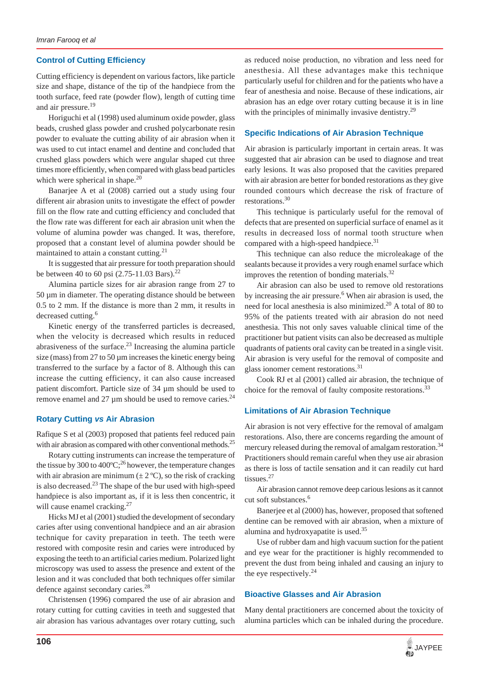## **Control of Cutting Efficiency**

Cutting efficiency is dependent on various factors, like particle size and shape, distance of the tip of the handpiece from the tooth surface, feed rate (powder flow), length of cutting time and air pressure.<sup>19</sup>

Horiguchi et al (1998) used aluminum oxide powder, glass beads, crushed glass powder and crushed polycarbonate resin powder to evaluate the cutting ability of air abrasion when it was used to cut intact enamel and dentine and concluded that crushed glass powders which were angular shaped cut three times more efficiently, when compared with glass bead particles which were spherical in shape.<sup>20</sup>

Banarjee A et al (2008) carried out a study using four different air abrasion units to investigate the effect of powder fill on the flow rate and cutting efficiency and concluded that the flow rate was different for each air abrasion unit when the volume of alumina powder was changed. It was, therefore, proposed that a constant level of alumina powder should be maintained to attain a constant cutting.<sup>21</sup>

It is suggested that air pressure for tooth preparation should be between 40 to 60 psi  $(2.75-11.03$  Bars).<sup>22</sup>

Alumina particle sizes for air abrasion range from 27 to 50 µm in diameter. The operating distance should be between 0.5 to 2 mm. If the distance is more than 2 mm, it results in decreased cutting.<sup>6</sup>

Kinetic energy of the transferred particles is decreased, when the velocity is decreased which results in reduced abrasiveness of the surface. $2<sup>3</sup>$  Increasing the alumina particle size (mass) from  $27$  to  $50 \mu m$  increases the kinetic energy being transferred to the surface by a factor of 8. Although this can increase the cutting efficiency, it can also cause increased patient discomfort. Particle size of 34 µm should be used to remove enamel and 27  $\mu$ m should be used to remove caries.<sup>24</sup>

## **Rotary Cutting** *vs* **Air Abrasion**

Rafique S et al (2003) proposed that patients feel reduced pain with air abrasion as compared with other conventional methods.<sup>25</sup>

Rotary cutting instruments can increase the temperature of the tissue by 300 to 400 $^{\circ}$ C;<sup>26</sup> however, the temperature changes with air abrasion are minimum  $(\pm 2^{\circ}C)$ , so the risk of cracking is also decreased. $^{23}$  The shape of the bur used with high-speed handpiece is also important as, if it is less then concentric, it will cause enamel cracking.<sup>27</sup>

Hicks MJ et al (2001) studied the development of secondary caries after using conventional handpiece and an air abrasion technique for cavity preparation in teeth. The teeth were restored with composite resin and caries were introduced by exposing the teeth to an artificial caries medium. Polarized light microscopy was used to assess the presence and extent of the lesion and it was concluded that both techniques offer similar defence against secondary caries.28

Christensen (1996) compared the use of air abrasion and rotary cutting for cutting cavities in teeth and suggested that air abrasion has various advantages over rotary cutting, such

as reduced noise production, no vibration and less need for anesthesia. All these advantages make this technique particularly useful for children and for the patients who have a fear of anesthesia and noise. Because of these indications, air abrasion has an edge over rotary cutting because it is in line with the principles of minimally invasive dentistry.<sup>29</sup>

### **Specific Indications of Air Abrasion Technique**

Air abrasion is particularly important in certain areas. It was suggested that air abrasion can be used to diagnose and treat early lesions. It was also proposed that the cavities prepared with air abrasion are better for bonded restorations as they give rounded contours which decrease the risk of fracture of restorations.<sup>30</sup>

This technique is particularly useful for the removal of defects that are presented on superficial surface of enamel as it results in decreased loss of normal tooth structure when compared with a high-speed handpiece.<sup>31</sup>

This technique can also reduce the microleakage of the sealants because it provides a very rough enamel surface which improves the retention of bonding materials. $32$ 

Air abrasion can also be used to remove old restorations by increasing the air pressure.<sup>6</sup> When air abrasion is used, the need for local anesthesia is also minimized.20 A total of 80 to 95% of the patients treated with air abrasion do not need anesthesia. This not only saves valuable clinical time of the practitioner but patient visits can also be decreased as multiple quadrants of patients oral cavity can be treated in a single visit. Air abrasion is very useful for the removal of composite and glass ionomer cement restorations.<sup>31</sup>

Cook RJ et al (2001) called air abrasion, the technique of choice for the removal of faulty composite restorations.<sup>33</sup>

#### **Limitations of Air Abrasion Technique**

Air abrasion is not very effective for the removal of amalgam restorations. Also, there are concerns regarding the amount of mercury released during the removal of amalgam restoration.<sup>34</sup> Practitioners should remain careful when they use air abrasion as there is loss of tactile sensation and it can readily cut hard tissues.<sup>27</sup>

Air abrasion cannot remove deep carious lesions as it cannot cut soft substances.<sup>6</sup>

Banerjee et al (2000) has, however, proposed that softened dentine can be removed with air abrasion, when a mixture of alumina and hydroxyapatite is used.<sup>35</sup>

Use of rubber dam and high vacuum suction for the patient and eye wear for the practitioner is highly recommended to prevent the dust from being inhaled and causing an injury to the eye respectively. $^{24}$ 

## **Bioactive Glasses and Air Abrasion**

Many dental practitioners are concerned about the toxicity of alumina particles which can be inhaled during the procedure.